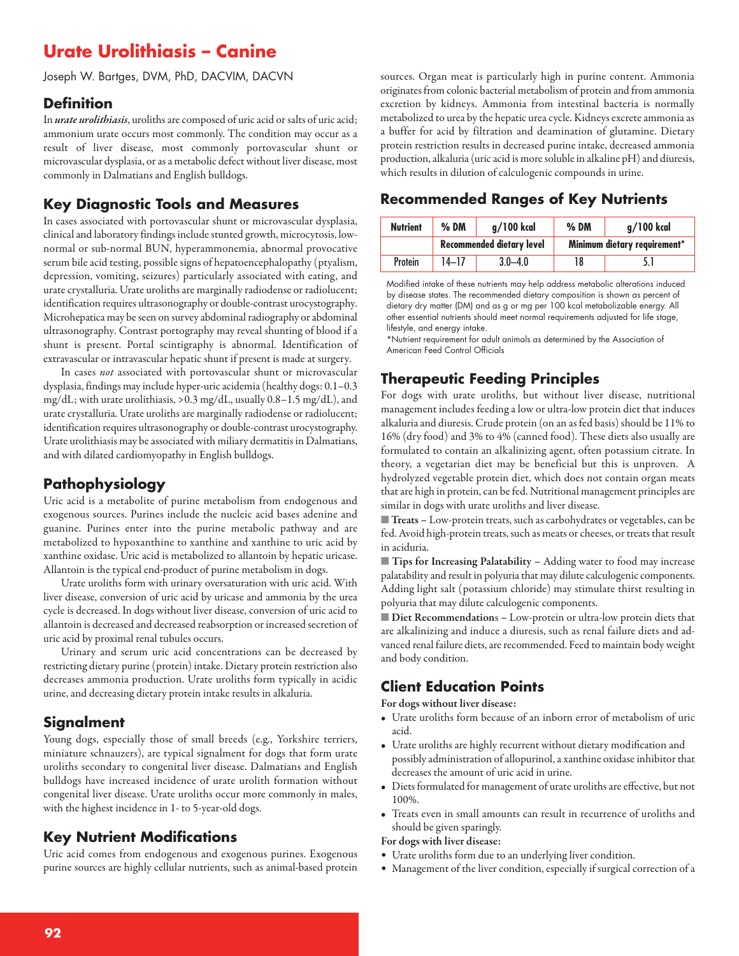# **Urate Urolithiasis – Canine**

Joseph W. Bartges, DVM, PhD, DACVIM, DACVN

#### **Definition**

In *urate urolithiasis*, uroliths are composed of uric acid or salts of uric acid; ammonium urate occurs most commonly. The condition may occur as a result of liver disease, most commonly portovascular shunt or microvascular dysplasia, or as a metabolic defect without liver disease, most commonly in Dalmatians and English bulldogs.

#### **Key Diagnostic Tools and Measures**

In cases associated with portovascular shunt or microvascular dysplasia, clinical and laboratory findings include stunted growth, microcytosis, lownormal or sub-normal BUN, hyperammonemia, abnormal provocative serum bile acid testing, possible signs of hepatoencephalopathy (ptyalism, depression, vomiting, seizures) particularly associated with eating, and urate crystalluria. Urate uroliths are marginally radiodense or radiolucent; identification requires ultrasonography or double-contrast urocystography. Microhepatica may be seen on survey abdominal radiography or abdominal ultrasonography. Contrast portography may reveal shunting of blood if a shunt is present. Portal scintigraphy is abnormal. Identification of extravascular or intravascular hepatic shunt if present is made at surgery.

In cases *not* associated with portovascular shunt or microvascular dysplasia, findings may include hyper-uricacidemia(healthy dogs: 0.1–0.3 mg/dL; with urate urolithiasis, >0.3 mg/dL, usually 0.8-1.5 mg/dL), and urate crystalluria. Urate uroliths are marginally radiodense or radiolucent; identification requires ultrasonography or double-contrast urocystography. Urate urolithiasis may be associated with miliary dermatitis in Dalmatians, and with dilated cardiomyopathy in English bulldogs.

### **Pathophysiology**

Uric acid is a metabolite of purine metabolism from endogenous and exogenous sources. Purines include the nucleic acid bases adenine and guanine. Purines enter into the purine metabolic pathway and are metabolized to hypoxanthine to xanthine and xanthine to uric acid by xanthine oxidase. Uric acid is metabolized to allantoin by hepatic uricase. Allantoin is the typical end-product of purine metabolism in dogs.

Urate uroliths form with urinary oversaturation with uric acid. With liver disease, conversion of uric acid by uricase and ammonia by the urea cycle is decreased. In dogs without liver disease, conversion of uric acid to allantoin is decreased and decreased reabsorption or increased secretion of uric acid by proximal renal tubules occurs.

Urinary and serum uric acid concentrations can be decreased by restricting dietary purine(protein) intake. Dietary protein restriction also decreases ammonia production. Urate uroliths form typically in acidic urine, and decreasing dietary protein intake results in alkaluria.

### **Signalment**

Young dogs, especially those of small breeds (e.g., Yorkshire terriers, miniature schnauzers), are typical signalment for dogs that form urate uroliths secondary to congenital liver disease. Dalmatians and English bulldogs have increased incidence of urate urolith formation without congenital liver disease. Urate uroliths occur more commonly in males, with the highest incidence in 1- to 5-year-old dogs.

### **Key Nutrient Modifications**

Uric acid comes from endogenous and exogenous purines. Exogenous purine sources are highly cellular nutrients, such as animal-based protein

sources. Organ meat is particularly high in purine content. Ammonia originates from colonic bacterial metabolism of protein and from ammonia excretion by kidneys. Ammonia from intestinal bacteria is normally metabolized to urea by the hepatic urea cycle. Kidneys excrete ammonia as a buffer for acid by filtration and deamination of glutamine. Dietary protein restriction results in decreased purine intake, decreased ammonia production, alkaluria (uric acid is more soluble in alkaline pH) and diuresis, which results in dilution of calculogenic compounds in urine.

## **Recommended Ranges of Key Nutrients**

| <b>Nutrient</b> | $%$ DM                           | $q/100$ kcal | $%$ DM                       | g/100 kcal |
|-----------------|----------------------------------|--------------|------------------------------|------------|
|                 | <b>Recommended dietary level</b> |              | Minimum dietary requirement* |            |
| Protein         | 14–17                            | $3.0 - 4.0$  |                              |            |

Modified intake of these nutrients may help address metabolic alterations induced by disease states. The recommended dietary composition is shown as percent of dietary dry matter (DM) and as g or mg per 100 kcal metabolizable energy. All other essential nutrients should meet normal requirements adjusted for life stage, lifestyle, and energy intake.

\*Nutrient requirement for adult animals as determined by the Association of American Feed Control Officials

## **Therapeutic Feeding Principles**

For dogs with urate uroliths, but without liver disease, nutritional management includes feeding alow or ultra-low protein diet that induces alkaluria and diuresis. Crude protein (on an as fed basis) should be 11% to 16% (dry food) and 3% to 4% (canned food). These diets also usually are formulated to contain an alkalinizing agent, often potassium citrate. In theory, a vegetarian diet may be beneficial but this is unproven. A hydrolyzed vegetable protein diet, which does not contain organ meats that are high in protein, can be fed. Nutritional management principles are similar in dogs with urate uroliths and liver disease.

■ **Treats** - Low-protein treats, such as carbohydrates or vegetables, can be fed. Avoid high-protein treats, such as meats or cheeses, or treats that result in aciduria.

■ **Tips for Increasing Palatability –** Adding water to food may increase palatability and result in polyuria that may dilute calculogenic components. Adding light salt (potassium chloride) may stimulate thirst resulting in polyuria that may dilute calculogenic components.

■ **Diet Recommendation**s **–** Low-protein or ultra-low protein diets that are alkalinizing and induce a diuresis, such as renal failure diets and advanced renal failure diets, are recommended. Feed to maintain body weight and body condition.

## **Client Education Points**

**For dogs without liver disease:**

- Urate uroliths form because of an inborn error of metabolism of uric acid.
- Urate uroliths are highly recurrent without dietary modification and possibly administration of allopurinol, a xanthine oxidase inhibitor that decreases the amount of uric acid in urine.
- Diets formulated for management of urate uroliths are effective, but not 100%.
- Treats even in small amounts can result in recurrence of uroliths and should be given sparingly.

#### **For dogs with liver disease:**

- Urate uroliths form due to an underlying liver condition.
- Management of the liver condition, especially if surgical correction of a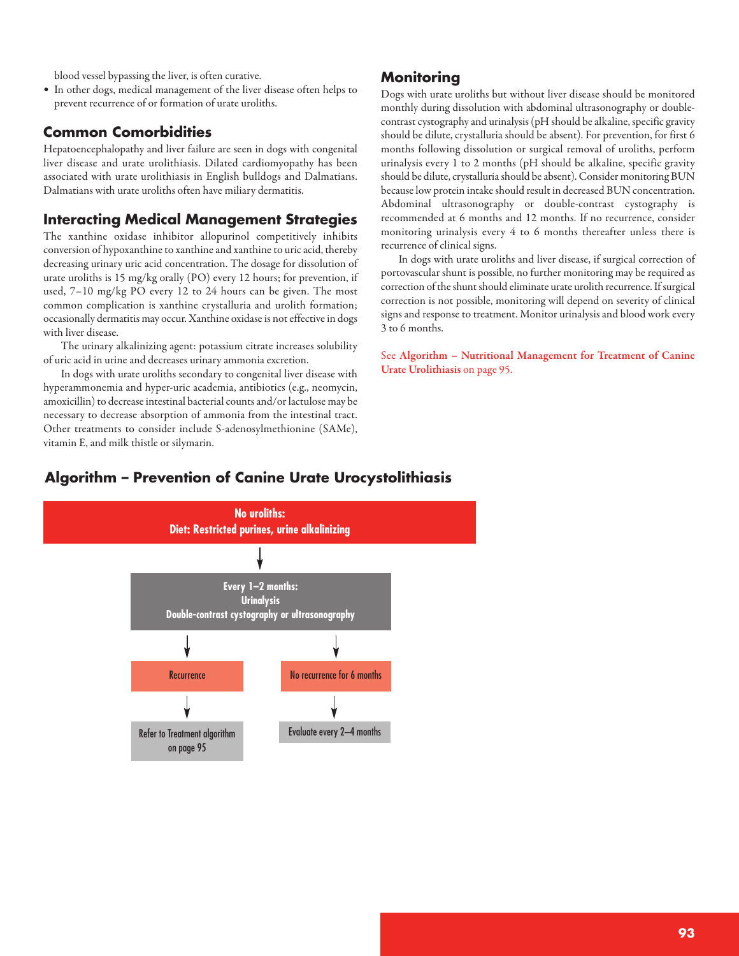blood vessel bypassing the liver, is often curative.

• In other dogs, medical management of the liver disease often helps to prevent recurrence of or formation of urate uroliths.

#### **Common Comorbidities**

Hepatoencephalopathy and liver failure are seen in dogs with congenital liver disease and urate urolithiasis. Dilated cardiomyopathy has been associated with urate urolithiasis in English bulldogs and Dalmatians. Dalmatians with urate uroliths often have miliary dermatitis.

#### **Interacting Medical Management Strategies**

The xanthine oxidase inhibitor allopurinol competitively inhibits conversion of hypoxanthine to xanthine and xanthine to uric acid, thereby decreasing urinary uric acid concentration. The dosage for dissolution of urate uroliths is 15 mg/kg orally (PO) every 12 hours; for prevention, if used, 7–10 mg/kg PO every 12 to 24 hours can be given. The most common complication is xanthine crystalluria and urolith formation; occasionally dermatitis may occur. Xanthine oxidase is not effective in dogs with liver disease.

The urinary alkalinizing agent: potassium citrate increases solubility of uric acid in urine and decreases urinary ammonia excretion.

In dogs with urate uroliths secondary to congenital liver disease with hyperammonemia and hyper-uric academia, antibiotics (e.g., neomycin, amoxicillin) to decrease intestinal bacterial counts and/or lactulose may be necessary to decrease absorption of ammonia from the intestinal tract. Other treatments to consider include S-adenosylmethionine (SAMe), vitamin E, and milk thistle or silymarin.

#### **Monitoring**

Dogs with urate uroliths but without liver disease should be monitored monthly during dissolution with abdominal ultrasonography or doublecontrast cystography and urinalysis (pH should be alkaline, specific gravity should be dilute, crystalluria should be absent). For prevention, for first 6 months following dissolution or surgical removal of uroliths, perform urinalysis every 1 to 2 months (pH should be alkaline, specific gravity should be dilute, crystalluria should be absent). Consider monitoring BUN because low protein intake should result in decreased BUN concentration. Abdominal ultrasonography or double-contrast cystography is recommended at 6 months and 12 months. If no recurrence, consider monitoring urinalysis every 4 to 6 months thereafter unless there is recurrence of clinical signs.

In dogs with urate uroliths and liver disease, if surgical correction of portovascular shunt is possible, no further monitoring may be required as correction of the shunt should eliminate urate urolith recurrence. If surgical correction is not possible, monitoring will depend on severity of clinical signs and response to treatment. Monitor urinalysis and blood work every 3 to 6 months.

See **Algorithm – Nutritional Management for Treatment of Canine Urate Urolithiasis** on page 95.

## **Algorithm – Prevention of Canine Urate Urocystolithiasis**

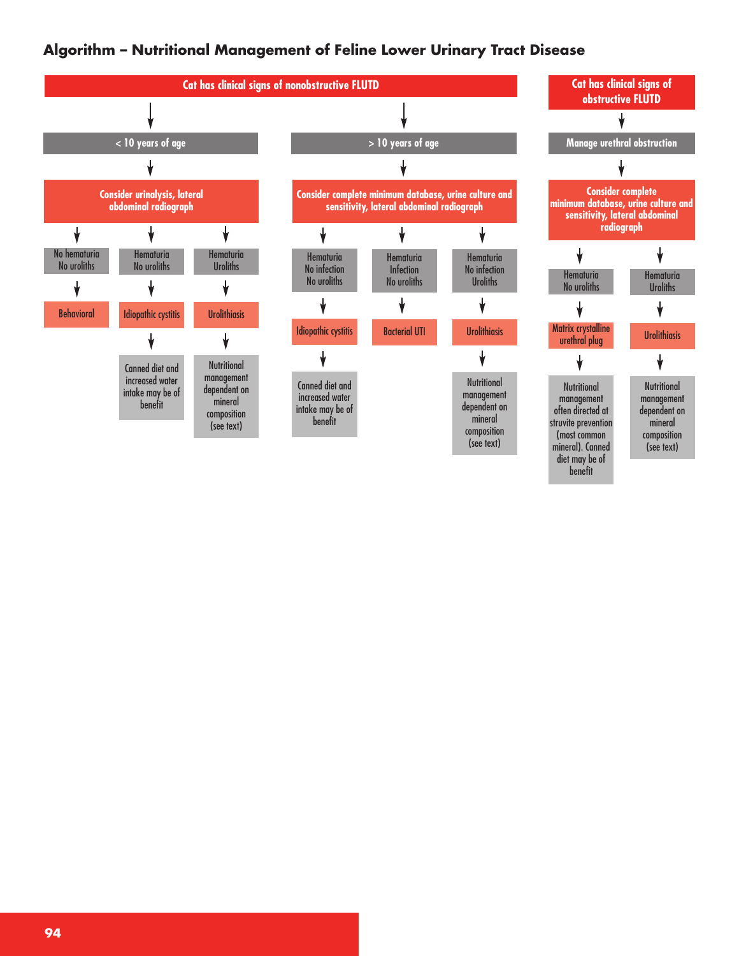## **Algorithm – Nutritional Management of Feline Lower Urinary Tract Disease**